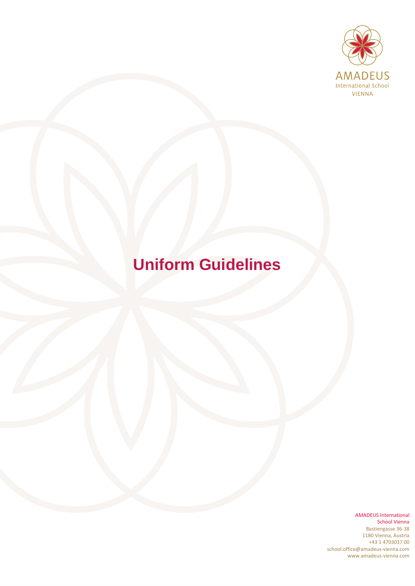

# **Uniform Guidelines**

AMADEUS International School Vienna Bastiengasse 36-38 1180 Vienna, Austria +43 1 4703037 00 school.office@amadeus-vienna.com www.amadeus-vienna.com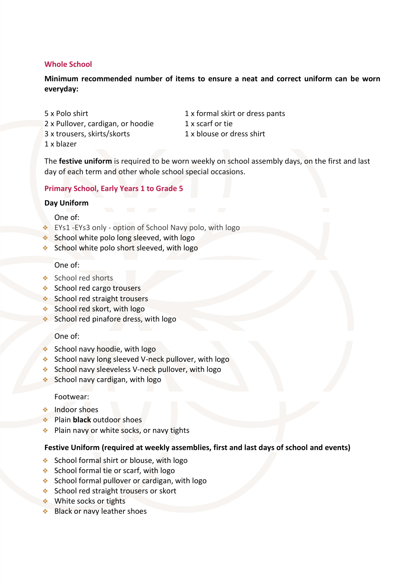## **Whole School**

**Minimum recommended number of items to ensure a neat and correct uniform can be worn everyday:**

5 x Polo shirt 1 x formal skirt or dress pants 2 x Pullover, cardigan, or hoodie 1 x scarf or tie 3 x trousers, skirts/skorts 1 x blouse or dress shirt 1 x blazer

The **festive uniform** is required to be worn weekly on school assembly days, on the first and last day of each term and other whole school special occasions.

### **Primary School, Early Years 1 to Grade 5**

#### **Day Uniform**

#### One of:

- ❖ EYs1 -EYs3 only option of School Navy polo, with logo
- ◆ School white polo long sleeved, with logo
- School white polo short sleeved, with logo

## One of:

- ❖ School red shorts
- ❖ School red cargo trousers
- ❖ School red straight trousers
- ❖ School red skort, with logo
- ❖ School red pinafore dress, with logo

#### One of:

- School navy hoodie, with logo
- ❖ School navy long sleeved V-neck pullover, with logo
- ❖ School navy sleeveless V-neck pullover, with logo
- ❖ School navy cardigan, with logo

#### Footwear:

- ❖ Indoor shoes
- ❖ Plain **black** outdoor shoes
- ❖ Plain navy or white socks, or navy tights

#### **Festive Uniform (required at weekly assemblies, first and last days of school and events)**

- ❖ School formal shirt or blouse, with logo
- ❖ School formal tie or scarf, with logo
- ❖ School formal pullover or cardigan, with logo
- ❖ School red straight trousers or skort
- ❖ White socks or tights
- Black or navy leather shoes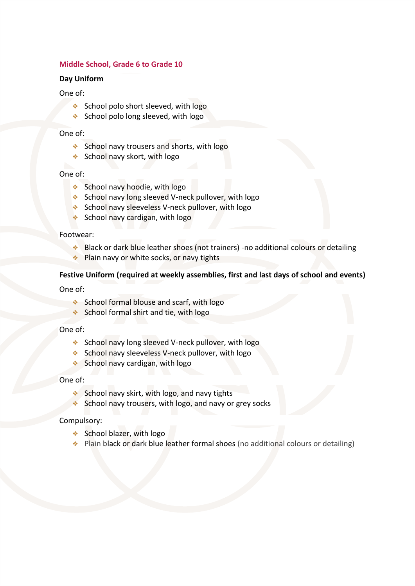## **Middle School, Grade 6 to Grade 10**

#### **Day Uniform**

### One of:

- ❖ School polo short sleeved, with logo
- ❖ School polo long sleeved, with logo

# One of:

- ❖ School navy trousers and shorts, with logo
- ❖ School navy skort, with logo

# One of:

- ❖ School navy hoodie, with logo
- ❖ School navy long sleeved V-neck pullover, with logo
- ❖ School navy sleeveless V-neck pullover, with logo
- ❖ School navy cardigan, with logo

### Footwear:

- ❖ Black or dark blue leather shoes (not trainers) -no additional colours or detailing
- ❖ Plain navy or white socks, or navy tights

# **Festive Uniform (required at weekly assemblies, first and last days of school and events)**

One of:

- ❖ School formal blouse and scarf, with logo
- ❖ School formal shirt and tie, with logo

One of:

- ❖ School navy long sleeved V-neck pullover, with logo
- ❖ School navy sleeveless V-neck pullover, with logo
- ❖ School navy cardigan, with logo

#### One of:

- ❖ School navy skirt, with logo, and navy tights
- ❖ School navy trousers, with logo, and navy or grey socks

# Compulsory:

- ❖ School blazer, with logo
- ❖ Plain black or dark blue leather formal shoes (no additional colours or detailing)